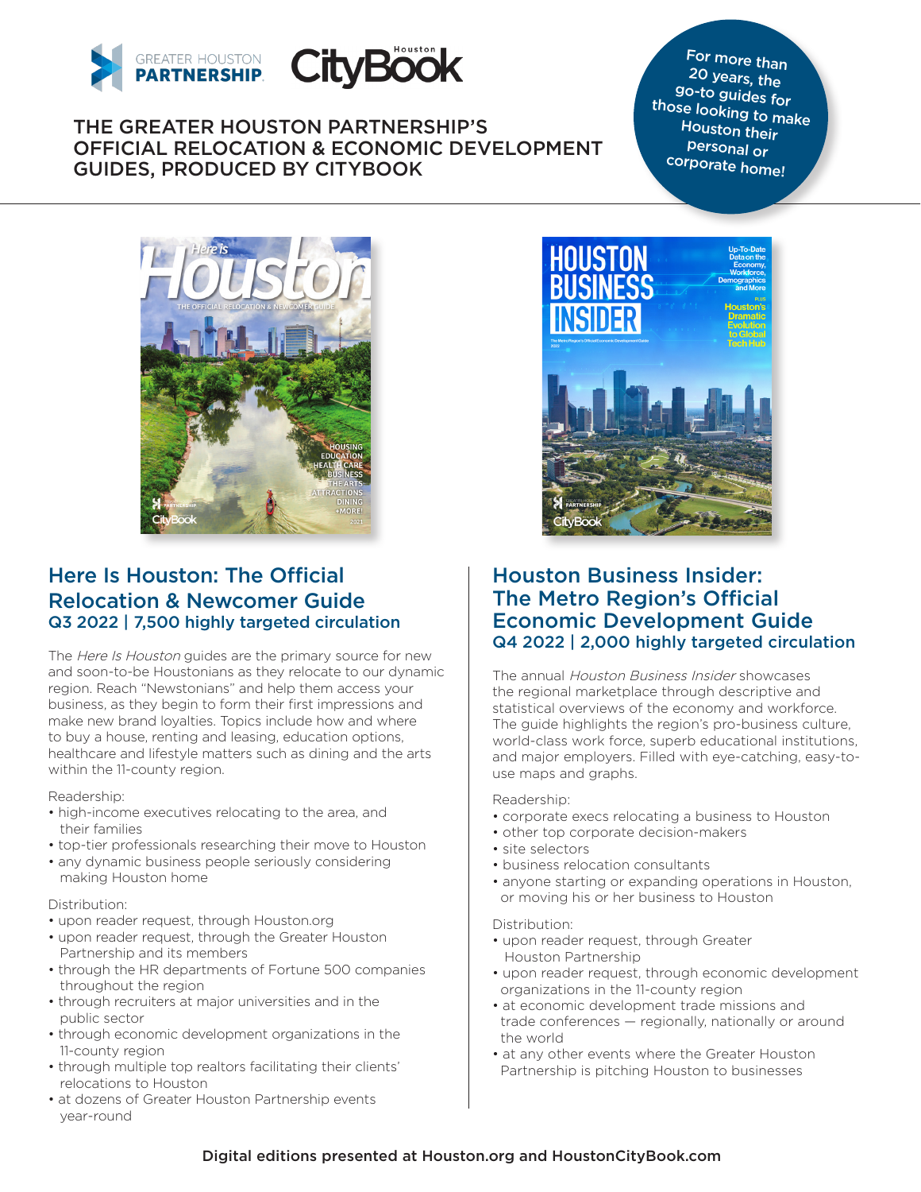

THE GREATER HOUSTON PARTNERSHIP'S OFFICIAL RELOCATION & ECONOMIC DEVELOPMENT GUIDES, PRODUCED BY CITYBOOK

For more than 20 years, the go-to guides for those looking to make Houston their personal or corporate home!



# Here Is Houston: The Official Relocation & Newcomer Guide Q3 2022 | 7,500 highly targeted circulation

The Here Is Houston guides are the primary source for new and soon-to-be Houstonians as they relocate to our dynamic region. Reach "Newstonians" and help them access your business, as they begin to form their first impressions and make new brand loyalties. Topics include how and where to buy a house, renting and leasing, education options, healthcare and lifestyle matters such as dining and the arts within the 11-county region.

Readership:

- high-income executives relocating to the area, and their families
- top-tier professionals researching their move to Houston
- any dynamic business people seriously considering making Houston home

#### Distribution:

- upon reader request, through Houston.org
- upon reader request, through the Greater Houston Partnership and its members
- through the HR departments of Fortune 500 companies throughout the region
- through recruiters at major universities and in the public sector
- through economic development organizations in the 11-county region
- through multiple top realtors facilitating their clients' relocations to Houston
- at dozens of Greater Houston Partnership events year-round



## Houston Business Insider: The Metro Region's Official Economic Development Guide Q4 2022 | 2,000 highly targeted circulation

The annual Houston Business Insider showcases the regional marketplace through descriptive and statistical overviews of the economy and workforce. The guide highlights the region's pro-business culture, world-class work force, superb educational institutions, and major employers. Filled with eye-catching, easy-touse maps and graphs.

#### Readership:

- corporate execs relocating a business to Houston
- other top corporate decision-makers
- site selectors
- business relocation consultants
- anyone starting or expanding operations in Houston, or moving his or her business to Houston

#### Distribution:

- upon reader request, through Greater Houston Partnership
- upon reader request, through economic development organizations in the 11-county region
- at economic development trade missions and trade conferences — regionally, nationally or around the world
- at any other events where the Greater Houston Partnership is pitching Houston to businesses

### Digital editions presented at Houston.org and HoustonCityBook.com